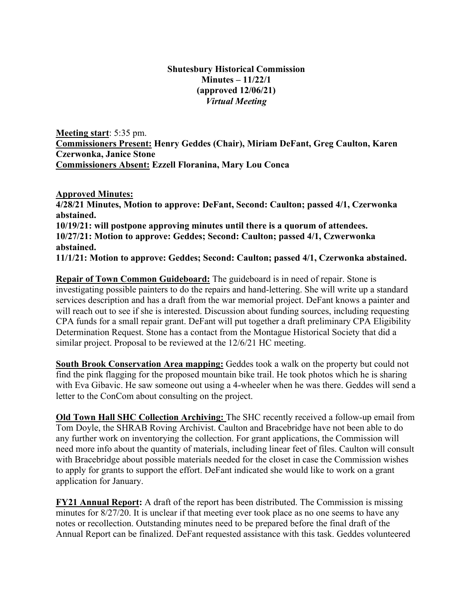## **Shutesbury Historical Commission Minutes – 11/22/1 (approved 12/06/21)** *Virtual Meeting*

**Meeting start**: 5:35 pm. **Commissioners Present: Henry Geddes (Chair), Miriam DeFant, Greg Caulton, Karen Czerwonka, Janice Stone Commissioners Absent: Ezzell Floranina, Mary Lou Conca**

**Approved Minutes: 4/28/21 Minutes, Motion to approve: DeFant, Second: Caulton; passed 4/1, Czerwonka abstained. 10/19/21: will postpone approving minutes until there is a quorum of attendees. 10/27/21: Motion to approve: Geddes; Second: Caulton; passed 4/1, Czwerwonka abstained. 11/1/21: Motion to approve: Geddes; Second: Caulton; passed 4/1, Czerwonka abstained.** 

**Repair of Town Common Guideboard:** The guideboard is in need of repair. Stone is investigating possible painters to do the repairs and hand-lettering. She will write up a standard services description and has a draft from the war memorial project. DeFant knows a painter and will reach out to see if she is interested. Discussion about funding sources, including requesting CPA funds for a small repair grant. DeFant will put together a draft preliminary CPA Eligibility Determination Request. Stone has a contact from the Montague Historical Society that did a similar project. Proposal to be reviewed at the 12/6/21 HC meeting.

**South Brook Conservation Area mapping:** Geddes took a walk on the property but could not find the pink flagging for the proposed mountain bike trail. He took photos which he is sharing with Eva Gibavic. He saw someone out using a 4-wheeler when he was there. Geddes will send a letter to the ConCom about consulting on the project.

**Old Town Hall SHC Collection Archiving:** The SHC recently received a follow-up email from Tom Doyle, the SHRAB Roving Archivist. Caulton and Bracebridge have not been able to do any further work on inventorying the collection. For grant applications, the Commission will need more info about the quantity of materials, including linear feet of files. Caulton will consult with Bracebridge about possible materials needed for the closet in case the Commission wishes to apply for grants to support the effort. DeFant indicated she would like to work on a grant application for January.

**FY21 Annual Report:** A draft of the report has been distributed. The Commission is missing minutes for 8/27/20. It is unclear if that meeting ever took place as no one seems to have any notes or recollection. Outstanding minutes need to be prepared before the final draft of the Annual Report can be finalized. DeFant requested assistance with this task. Geddes volunteered